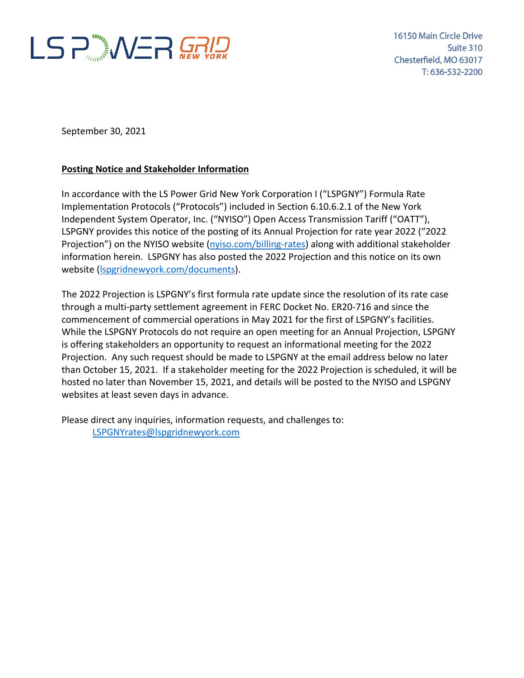

September 30, 2021

## **Posting Notice and Stakeholder Information**

In accordance with the LS Power Grid New York Corporation I ("LSPGNY") Formula Rate Implementation Protocols ("Protocols") included in Section 6.10.6.2.1 of the New York Independent System Operator, Inc. ("NYISO") Open Access Transmission Tariff ("OATT"), LSPGNY provides this notice of the posting of its Annual Projection for rate year 2022 ("2022 Projection") on the NYISO website [\(nyiso.com/billing-rates\)](https://www.nyiso.com/billing-rates) along with additional stakeholder information herein. LSPGNY has also posted the 2022 Projection and this notice on its own website [\(lspgridnewyork.com/documents\)](https://www.lspgridnewyork.com/documents/).

The 2022 Projection is LSPGNY's first formula rate update since the resolution of its rate case through a multi-party settlement agreement in FERC Docket No. ER20-716 and since the commencement of commercial operations in May 2021 for the first of LSPGNY's facilities. While the LSPGNY Protocols do not require an open meeting for an Annual Projection, LSPGNY is offering stakeholders an opportunity to request an informational meeting for the 2022 Projection. Any such request should be made to LSPGNY at the email address below no later than October 15, 2021. If a stakeholder meeting for the 2022 Projection is scheduled, it will be hosted no later than November 15, 2021, and details will be posted to the NYISO and LSPGNY websites at least seven days in advance.

Please direct any inquiries, information requests, and challenges to: [LSPGNYrates@lspgridnewyork.com](mailto:LSPGNYrates@lspgridnewyork.com)